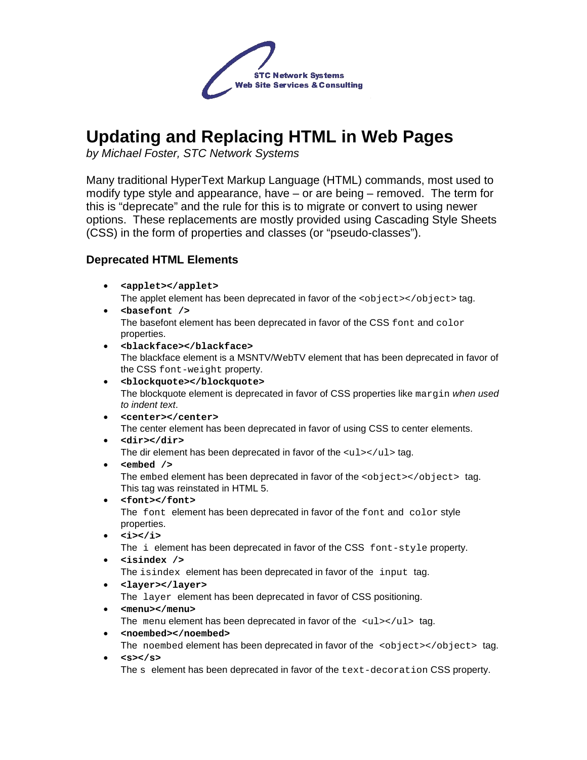

# **Updating and Replacing HTML in Web Pages**

by Michael Foster, STC Network Systems

Many traditional HyperText Markup Language (HTML) commands, most used to modify type style and appearance, have – or are being – removed. The term for this is "deprecate" and the rule for this is to migrate or convert to using newer options. These replacements are mostly provided using Cascading Style Sheets (CSS) in the form of properties and classes (or "pseudo-classes").

# **Deprecated HTML Elements**

- **<applet></applet>** The applet element has been deprecated in favor of the  $\langle$ object $\rangle$ </object $>$ tag.
- **<basefont />** The basefont element has been deprecated in favor of the CSS font and color properties.
- **<blackface></blackface>** The blackface element is a MSNTV/WebTV element that has been deprecated in favor of the CSS font-weight property.
- **<blockquote></blockquote>** The blockquote element is deprecated in favor of CSS properties like margin when used to indent text.
- **<center></center>** The center element has been deprecated in favor of using CSS to center elements. • **<dir></dir>**
	- The dir element has been deprecated in favor of the  $\langle \text{ul}\rangle\langle \text{ul}\rangle$  tag.
- **<embed />**

The embed element has been deprecated in favor of the  $\langle$ object> $\langle$ /object> tag. This tag was reinstated in HTML 5.

- **<font></font>** The font element has been deprecated in favor of the font and color style properties.
- **<i></i>**

The i element has been deprecated in favor of the CSS font-style property.

• **<isindex />**

The isindex element has been deprecated in favor of the input tag.

- **<layer></layer>** The layer element has been deprecated in favor of CSS positioning.
- **<menu></menu>**

The menu element has been deprecated in favor of the  $\langle ul\rangle$ - $\langle ul\rangle$  tag.

- **<noembed></noembed>** The noembed element has been deprecated in favor of the <object></object> tag.
- **<s></s>**

The s element has been deprecated in favor of the text-decoration CSS property.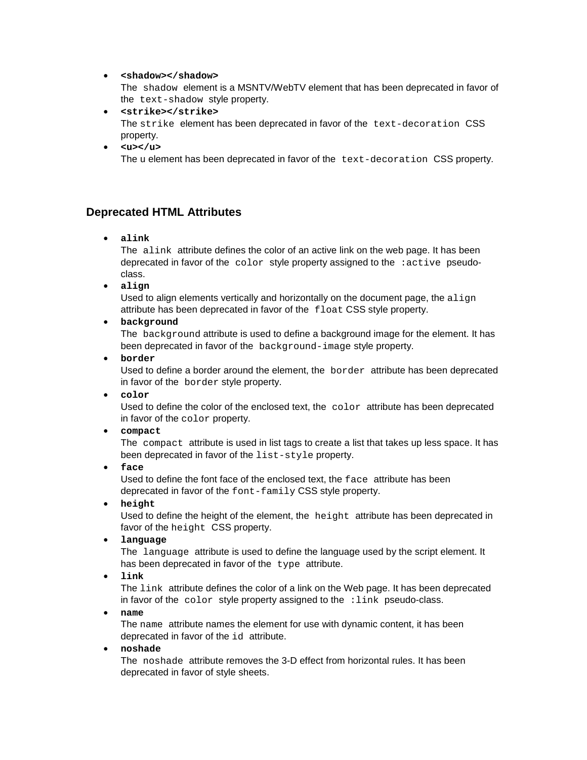#### • **<shadow></shadow>**

The shadow element is a MSNTV/WebTV element that has been deprecated in favor of the text-shadow style property.

- **<strike></strike>** The strike element has been deprecated in favor of the text-decoration CSS property.
- $\cdot$   $\langle u \rangle \langle u \rangle$

The u element has been deprecated in favor of the text-decoration CSS property.

# **Deprecated HTML Attributes**

• **alink**

The alink attribute defines the color of an active link on the web page. It has been deprecated in favor of the color style property assigned to the :active pseudoclass.

• **align**

Used to align elements vertically and horizontally on the document page, the  $\alpha$ lign attribute has been deprecated in favor of the float CSS style property.

• **background**

The background attribute is used to define a background image for the element. It has been deprecated in favor of the background-image style property.

• **border**

Used to define a border around the element, the border attribute has been deprecated in favor of the border style property.

• **color**

Used to define the color of the enclosed text, the  $\text{color}$  attribute has been deprecated in favor of the color property.

• **compact**

The compact attribute is used in list tags to create a list that takes up less space. It has been deprecated in favor of the list-style property.

• **face**

Used to define the font face of the enclosed text, the face attribute has been deprecated in favor of the font-family CSS style property.

• **height**

Used to define the height of the element, the height attribute has been deprecated in favor of the height CSS property.

• **language**

The language attribute is used to define the language used by the script element. It has been deprecated in favor of the type attribute.

• **link**

The link attribute defines the color of a link on the Web page. It has been deprecated in favor of the  $color$  style property assigned to the  $:link$  pseudo-class.

• **name**

The name attribute names the element for use with dynamic content, it has been deprecated in favor of the id attribute.

• **noshade**

The noshade attribute removes the 3-D effect from horizontal rules. It has been deprecated in favor of style sheets.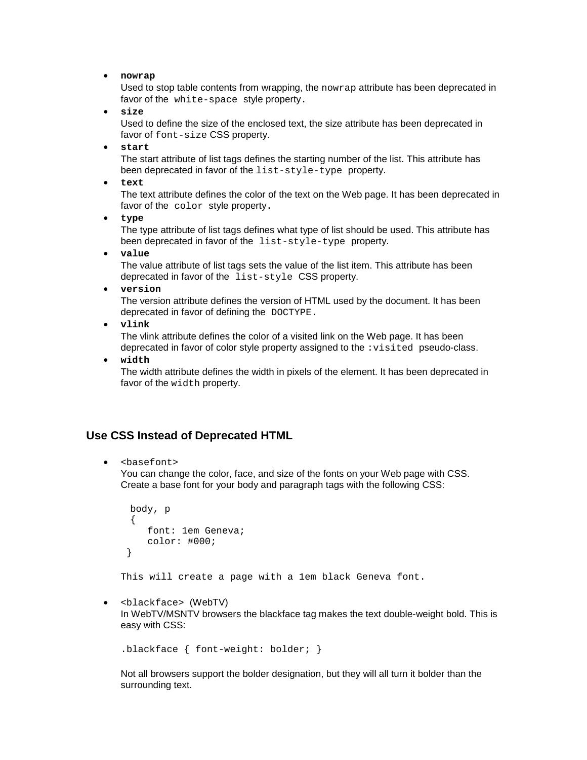• **nowrap**

Used to stop table contents from wrapping, the nowrap attribute has been deprecated in favor of the white-space style property.

• **size**

Used to define the size of the enclosed text, the size attribute has been deprecated in favor of font-size CSS property.

• **start**

The start attribute of list tags defines the starting number of the list. This attribute has been deprecated in favor of the list-style-type property.

• **text**

The text attribute defines the color of the text on the Web page. It has been deprecated in favor of the color style property.

• **type**

The type attribute of list tags defines what type of list should be used. This attribute has been deprecated in favor of the list-style-type property.

• **value**

The value attribute of list tags sets the value of the list item. This attribute has been deprecated in favor of the list-style CSS property.

• **version**

The version attribute defines the version of HTML used by the document. It has been deprecated in favor of defining the DOCTYPE.

• **vlink**

The vlink attribute defines the color of a visited link on the Web page. It has been deprecated in favor of color style property assigned to the : visited pseudo-class.

• **width**

The width attribute defines the width in pixels of the element. It has been deprecated in favor of the width property.

## **Use CSS Instead of Deprecated HTML**

• <basefont>

You can change the color, face, and size of the fonts on your Web page with CSS. Create a base font for your body and paragraph tags with the following CSS:

```
 body, p 
 { 
     font: 1em Geneva; 
     color: #000; 
 }
```
This will create a page with a 1em black Geneva font.

• <blackface> (WebTV)

In WebTV/MSNTV browsers the blackface tag makes the text double-weight bold. This is easy with CSS:

.blackface { font-weight: bolder; }

Not all browsers support the bolder designation, but they will all turn it bolder than the surrounding text.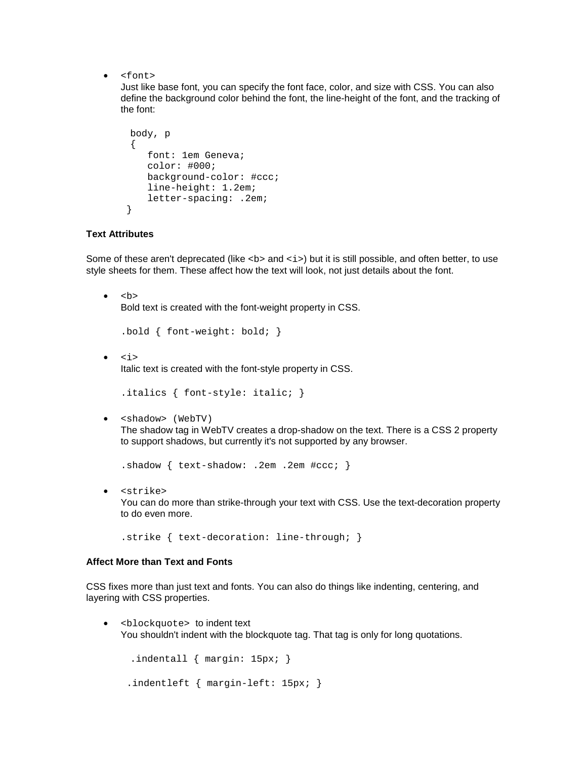• <font>

Just like base font, you can specify the font face, color, and size with CSS. You can also define the background color behind the font, the line-height of the font, and the tracking of the font:

```
 body, p 
 { 
     font: 1em Geneva; 
    color: #000; 
     background-color: #ccc; 
     line-height: 1.2em; 
     letter-spacing: .2em; 
 }
```
### **Text Attributes**

Some of these aren't deprecated (like <b> and <i> > but it is still possible, and often better, to use style sheets for them. These affect how the text will look, not just details about the font.

 $\bullet \quad$  <b> Bold text is created with the font-weight property in CSS.

```
.bold { font-weight: bold; }
```
• <i>

Italic text is created with the font-style property in CSS.

```
.italics { font-style: italic; }
```
• <shadow> (WebTV)

The shadow tag in WebTV creates a drop-shadow on the text. There is a CSS 2 property to support shadows, but currently it's not supported by any browser.

.shadow { text-shadow: .2em .2em #ccc; }

• <strike> You can do more than strike-through your text with CSS. Use the text-decoration property to do even more.

.strike { text-decoration: line-through; }

#### **Affect More than Text and Fonts**

CSS fixes more than just text and fonts. You can also do things like indenting, centering, and layering with CSS properties.

• <blockquote> to indent text You shouldn't indent with the blockquote tag. That tag is only for long quotations.

```
 .indentall { margin: 15px; } 
 .indentleft { margin-left: 15px; }
```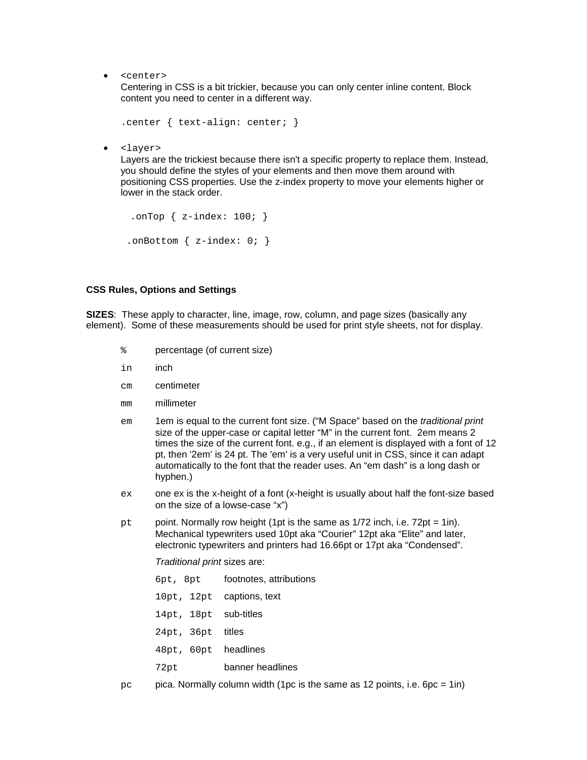• <center>

Centering in CSS is a bit trickier, because you can only center inline content. Block content you need to center in a different way.

```
.center { text-align: center; }
```
• <layer>

Layers are the trickiest because there isn't a specific property to replace them. Instead, you should define the styles of your elements and then move them around with positioning CSS properties. Use the z-index property to move your elements higher or lower in the stack order.

```
.onTop \{z\text{-index}: 100;\}.onBottom \{z\text{-index}: 0; \}
```
#### **CSS Rules, Options and Settings**

**SIZES**: These apply to character, line, image, row, column, and page sizes (basically any element). Some of these measurements should be used for print style sheets, not for display.

- % percentage (of current size)
- in inch
- cm centimeter
- mm millimeter
- em 1em is equal to the current font size. ("M Space" based on the *traditional print* size of the upper-case or capital letter "M" in the current font. 2em means 2 times the size of the current font. e.g., if an element is displayed with a font of 12 pt, then '2em' is 24 pt. The 'em' is a very useful unit in CSS, since it can adapt automatically to the font that the reader uses. An "em dash" is a long dash or hyphen.)
- ex one ex is the x-height of a font (x-height is usually about half the font-size based on the size of a lowse-case "x")
- pt point. Normally row height (1pt is the same as 1/72 inch, i.e. 72pt = 1in). Mechanical typewriters used 10pt aka "Courier" 12pt aka "Elite" and later, electronic typewriters and printers had 16.66pt or 17pt aka "Condensed".

Traditional print sizes are:

- 6pt, 8pt footnotes, attributions
- 10pt, 12pt captions, text
- 14pt, 18pt sub-titles
- 24pt, 36pt titles
- 48pt, 60pt headlines
- 72pt banner headlines
- $pc$  pica. Normally column width (1pc is the same as 12 points, i.e.  $6pc = 1$ in)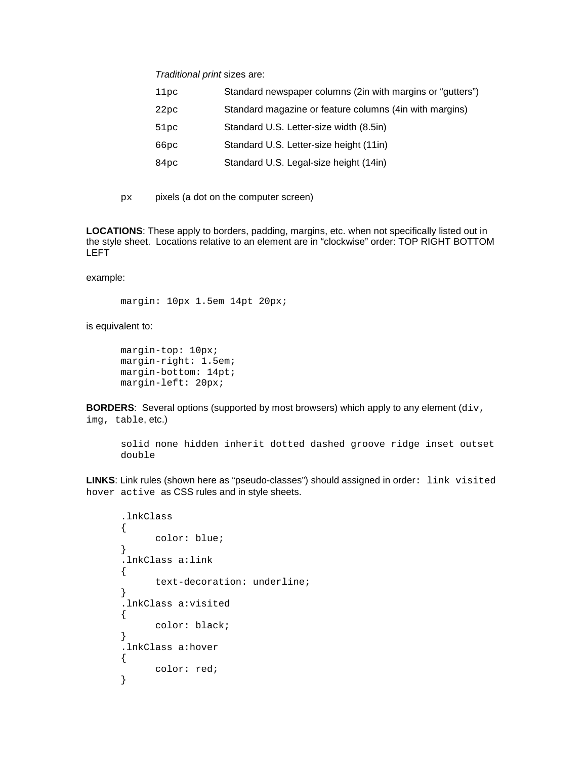Traditional print sizes are:

| Standard newspaper columns (2in with margins or "gutters") |
|------------------------------------------------------------|
| Standard magazine or feature columns (4in with margins)    |
| Standard U.S. Letter-size width (8.5in)                    |
| Standard U.S. Letter-size height (11in)                    |
| Standard U.S. Legal-size height (14in)                     |
|                                                            |

px pixels (a dot on the computer screen)

**LOCATIONS**: These apply to borders, padding, margins, etc. when not specifically listed out in the style sheet. Locations relative to an element are in "clockwise" order: TOP RIGHT BOTTOM LEFT

example:

margin: 10px 1.5em 14pt 20px;

is equivalent to:

```
margin-top: 10px; 
margin-right: 1.5em; 
margin-bottom: 14pt; 
margin-left: 20px;
```
**BORDERS:** Several options (supported by most browsers) which apply to any element (div, img, table, etc.)

solid none hidden inherit dotted dashed groove ridge inset outset double

LINKS: Link rules (shown here as "pseudo-classes") should assigned in order: link visited hover active as CSS rules and in style sheets.

```
.lnkClass 
{ 
      color: blue; 
} 
.lnkClass a:link 
{ 
      text-decoration: underline; 
} 
.lnkClass a:visited 
{ 
      color: black; 
} 
.lnkClass a:hover 
{ 
      color: red; 
}
```